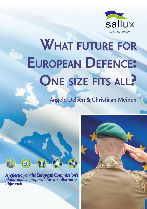

# **What future for European Defence: One size fits all?**

**Angelo Delsen & Christiaan Meinen**



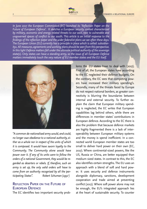



*In June 2017 the European Commission (EC) launched its 'Reflection Paper on the Future of European Defence'. It sketches a European security context characterized by military, economic and energy related threats to our east, next to vulnerable and ungoverned spaces of conflict to our south. This article is an initial response to the findings of the reflection paper and the wider federalist plans we see often these days. The European Union (EU) currently has a principle in place which is called: subsidiarity1. All measures, agreements and working plans should be seen from this perspective. In this light Defence matters fall under the ultimate political authority of the sovereign state(s). Only states can have a standing army, so the issue of all European Defence matters immediately touch the very nature of EU member states and the EU itself.* 



*"A common de-nationalised army would, and could, no longer owe obedience to a national authority, either as a whole nor in respect of the units of which it is composed. It would have sworn loyalty to the Community. The Community alone would have power over it. If any of its units were to follow the orders of a national Government, they would be regarded as deserters or rebels. If, therefore, such an army is set up, the only valid orders will have to come from an authority recognised by all the participating States". Robert Schuman (19512 )*

# **Reflection Paper on the Future of European Defence**

The EC identifies two important security prob-

lems the EU states have to deal with (2017). First of all, the European states have according to the EC neglected their defence budgets. On the contrary, the EC sees that competing powers have increased their military spending's. Secondly, many of the threats faced by Europe do not respect national borders, as greater connectivity is blurring the boundaries between internal and external security. To further explain the claim that European military spending is neglected, the EC writes that European capabilities lag behind others, while there are differences in member states' contributions in European defence. According to the EC there is also the problem that because defence markets are highly fragmented there is a lack of interoperability between European military systems and the money is spend inefficient. In a connected world European member states are too small to deliver hard power on their own (EC, 2017). Where continental-sized powers, like the US, Russia or China, are better equipped than medium sized states. In contrast to this, the EC also identifies certain strengths. The EU uses an approach with a blend of soft and hard power. It uses security and defence instruments alongside diplomacy, sanctions, development cooperation and trade aimed at preventing conflict (2017). Where soft power alone may not be enough, the EU's integrated approach lies at the heart of sustainable security. To counter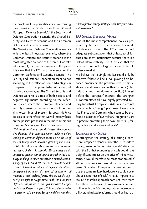

the problems European states face, concerning their security, the EC describes three different 'European Defence Scenario's': the Security and Defence Cooperation scenario, the Shared Security and Defence scenario and the Common Defence and Security scenario.

The Security and Defence Cooperation scenario is the least integrated scenario, where the Common Defence and security scenario is the most integrated scenario of the three. If we take into account, the used arguments in the paper it is clear that the EC has a preference for the Common Defence and Security scenario. The Security and Defence Cooperation scenario has according to the reflection some advantages in comparison to the present-day situation, but mainly disadvantages. The Shared Security and Defence scenario is a mix of both positive and negative arguments according to the reflection paper, where the Common Defence and Security scenario is presented as a solution for all shortcomings of present European defence policies. It is therefore that we will mainly focus on the policies proposed in the more ambitious Common Security and Defence scenario:

*''This most ambitious scenario foresees the progressive framing of a common Union defence policy, leading to common defence based on Article 42 of the EU Treaty which allows a group of like-minded Member States to take European defence to the next level. Under this scenario, EU countries would undertake greater commitments to each other's security, making Europe's protection a shared responsibility of the EU and NATO. The EU would be able to run high-end security and defence operations, underpinned by a certain level of integration of Member States' defence forces. The EU would support joint defence programmes with the European Defence Fund, as well as set up a dedicated European Defence Research Agency. This would also foster the creation of a genuine European defence market,* 

*able to protect its key strategic activities from external takeovers.''*

# **EU Single Defence Market**

One of the most comprehensive policies proposed by the paper is the creation of a single EU defence market. The EC claims without adequate substantiation<sup>3</sup> that at least 30 billion euros are spent inefficiently because there is a lack of interoperability. The EC believes that this is caused due to the fragmentation of the EU defence market.

We believe that a single market could only be effective if there will be a level playing field between producers. The problem here is that all states have shown to secure their national (often industrial and thus domestic political) interest before the 'European' interest. The strongest European states all have highly protected Military Industrial Complexes4 (MICs) and are not willing to buy 'foreign' platforms. Even states like France and Germany, who seem to be profound advocates of EU military integration<sup>5</sup>, are in practice protecting their own industrial-, foreign affairs- and security interests<sup>6</sup>.

### **Economies of Scale**

To strengthen the strategy of creating a common European defence market the EC resorts to the argument for 'economies of scale'. We agree with the EU that economies of scale could have a significant impact on the price of military systems. It would therefore be most economical if all European militaries would use the same systems. Only when Europe as a whole decides to use the same military hardware we could speak about 'economies of scale'. What is important to realize is that this approach does not leave room for differences between European users. To keep in line with the ECs findings about interoperability, standardized platforms should be kept up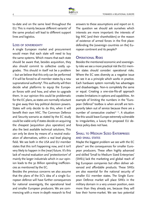to-date and on the same level throughout the EU. This is mainly because different variants<sup>7</sup> of the same product will lead to different support lines and logistics.

### **Loss of sovereignty**

A single European market and procurement would mean that each state will need to buy the same systems. Which means that each state should be aware that, besides acquisition, they also should commit to collective costly upgrades. This should in itself not be a problem – but we believe that this only can be performed if it will be forced to all member states by a new supranational authority<sup>8</sup>. This authority will then decide what platforms to equip the European forces with and how, and when to upgrade them. In our opinion this could be problematic for the EC plans, as states are normally reluctant to give away their key political decision powers. States will only decide to do this, when it will benefit their own MIC. The Common Defence and Security scenario as stated by the EC study could be viable only if states decide on acquiring the cheapest (acquisition plus operation) and also the best available technical solutions. This can only be done by means of a neutral evaluation of alternatives, within a real level playing field. We see both in the USA and EU member states that this isn't happening now, and it isn't very likely to happen in the (near) future. It's this lack of neutral evaluation and 'protectionism' of mainly the larger industrials which in our opinion leads to the 30 Billion spending inefficiencies as mentioned by the EC.

Besides the previous concerns we also assume that the plans of the EC's idea of a single European defence will have further consequences for national sovereignty, the operational level and smaller European producers. We are commencing with a more in-depth research to find answers to these assumptions and report on it. The question we should ask ourselves which interests are more important: the interests of big MIC (and their shareholders) or the reason of existence of armed forces in the first place: defending the (sovereign countries on the) European continent and its people?9

### **Operational Risks**

Besides the mentioned economic and sovereignty risks we see a more practical risk the EU member states should consider: operational risks. Where the EC sees diversity as a negative issue we see it as a principle which works in practice. Each hardware system normally has advantages and disadvantages. Non-is completely the same or equal. Creating a one-size-fits-all approach creates limitations in options and capabilities. An example of limiting the numbers in the "European Defence" toolbox is when aircraft are temporarily taken out of service because there are a number of consecutive crashes<sup>10 11</sup>. A situation like this would leave Europe extremely vulnerable to irregularities, a luxury the proposed EU defence policy does not have.

# **Small to Medium Sized Enterprises and small states**

Maybe the biggest problem we see with the EC plans<sup>12</sup> are the consequences for smaller European producers. These often highly advanced and skilled 'Small to Medium Sized Enterprises' (SMEs) lack the marketing and global reach of big European companies but often deliver advanced and affordable products. These SMEs are also essential for the national security of smaller EU member states. The Single European Defence market will place SMEs in the military domain in a very uneven position, even more than they already are, because they will lose their home-market. We see two potential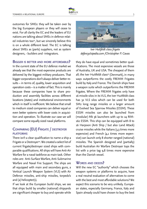

outcomes for SMEs: they will be taken over by the big European players or they will cease to exist. For all clarity the EC and the leaders of EU nations are talking about SMEs in defence related industries too<sup>13</sup>, but we sincerely believe this is on a whole different level. The EC is talking about SMEs as (parts) suppliers, not as system designers, - builders and -integrators.

## **Bigger is better and more affordable?**

In the current state of the EU defence market we already see that the most expensive products are delivered by the biggest military producers. That bigger corporations don't always deliver better results – in terms of, quality, lower acquisition and operation costs – is a matter of fact. This is mainly because these companies have to share production and assembly facilities across different locations (states) and institutional environments which in itself is inefficient. We believe that small to medium sized companies can deliver equal or even better systems with lower costs in acquisition and operation. To illustrate our case we will compare some equally sized naval platforms.

# **Comparing (EU) Frigate / destroyer platforms**

There isn't a clear qualification to name a ship a Frigate or a Destroyer<sup>14</sup>. We created a select list of current frigate/destroyer sized ships with comparable qualifications. All ships will have Anti-Air Warfare for a naval taskforce as main task. Other roles are: Anti-Surface Warfare, Anti-Submarine Warfare and Naval Fire Support. The ships are all equipped with main and secondary guns, a Vertical Launch Weapon System (VLS) with Air Defence missiles, anti-ship missiles, torpedo's and (a) helicopter(s).

If we look at the European build ships, we see that ships build by smaller (national) shipyards are significant cheaper to buy and operate while



*Iver Huitfeldt class frigate defencyclopedia.com /Christopher P. Cavas*

they do have equal and sometimes better qualifications. The most expensive vessels are those of Australia, UK and USA. The cheapest of them all; the Iver Huitfeldt class<sup>15</sup> (Denmark), in many ways outperforms the costly FREMM Frigates build by Italy and France. The Danish ships have a weapon suite which outperforms the FREMM frigates. Where the FREMM frigates only have 16 missile silos in its VLS, the Iver Huitfeldt class has 32 VLS silos which can be used for both SM2 long range missiles or a larger amount of Evolved Sea Sparrow Missiles (ESSM). These ESSM missiles can also be launched from (modular) Mk 56 launchers with up to 24 RIM-162 ESSM. This ship can be equipped with 8 to 16 Harpoon (Anti Ship / but also Land Attack) cruise missiles while the Italians (3,3 times more expensive) and French (4,1 times more expensive) can launch only 8 shorter ranged (national) missiles. The Spanish designed and (partially) build Australian Air Warfare Destroyer tops the list with a price tag 9,8 times more expensive than the Danish vessel.

### **Words and deeds?**

Will the new EC "authority" which chooses the weapon systems or platforms to acquire, have a real neutral evaluation of alternatives to come with the best and most affordable solutions? We expect this scenario to be very unlikely. European states, especially Germany, France, Italy and Spain already could have chosen to buy the best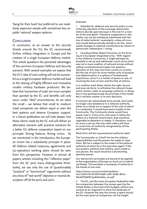'bang for their buck' but preferred to use needlessly expensive vessels with sometimes less capable 'national' weapon systems.

### **CONCLUSION**

In conclusion, as an answer to the security threats around the EU, the EC recommends further military integration in Europe and the creation of a single European defence market. This article questions the perceived advantages of the common European Defence and Security scenario. With several examples we expose that the EC's idea of cost-cutting will not be successful as a single European defence market will lead to the closing of highly efficient and innovative smaller military hardware producers. We believe that 'economies of scale' are more complex than painted by the EC and benefits will only occur under 'ideal' circumstances. As we value the small – we believe that small to medium sized companies can deliver equal or even the best systems and deserve European support. In a future publication we will look deeper into these claims made by the EC and will deliver an alternative scenario with practical solutions for a better EU defence cooperation based on our principle: Strong Nations, Strong Union. As we mentioned in the introduction, the European Union has a subsidiarity principle in place: All Defence related measures, agreements and (co-operation) working plans should be seen from this perspective. However in almost all papers, articles including this "reflection paper" from the EC (and many distinguished thinktanks), we see only the use of (questionable) "practical" or "economical" arguments without any show of "real-world" objective or neutral description off all the pro's and con's.

### Endnotes

1 Subsidiarity: defence and security policy is one of the key elements of the sovereign democratic state to decide upon because in the end it's a matter of life and death. Therefore cooperation in this matter can not be mistakenly substituted with the loss of state/national sovereignty, unless all countries would democratically decide to do this, which needs changes to national constitutions by means of democratic referendum / voting.

2 Founding father Robert Schuman on the forming of a European integrated army: "With regard to the Defence Community, it might perhaps be possible to set up and administer a joint army which was not a mere coalition of national armies without calling constitutional principles into question. Opinions on this may vary from country to country. But the use of such an army implies unity of purpose and determination in a sphere of fundamental importance, since it is a matter of peace or war, of involving the lives of men and the fate of nations.

In a coalition each State retains the right, de jure and even de facto, to withdraw the national troops which remain under its sovereign authority. In doing this it may perhaps break the promises it has made. But it remains master of its own decisions.

A common de-nationalised army would, and could, no longer owe obedience to a national authority, either as a whole nor in respect of the units of which it is composed. It would have sworn loyalty to the Community. The Community alone would have power over it. If any of its units were to follow the orders of a national Government, they would be regarded as deserters or rebels. If, therefore, such an army is set up, the only valid orders will have to come from an authority recognised by all the participating States.

What form will this supranational authority take?

The Commander-in-Chief? He has the military responsibilities and the powers he needs to meet them. But he is subject to the orders of the political authority of which he is the executive agent. If the two powers, political and military, were united in one person, the result would be a dictatorship, absolute power.

Our democratic principles are bound to be applied to the organisation of Europe as much as to individual States. This excludes a monopoly of authority in the hands of one man.

https://www.cvce.eu/content/publication/2003/10/10/91573e99-1c69-40d5-867e-19e3d706d167/publishable\_en.pdf

3 The EC, just like many European Federalists take the comparison between the money spent by the United States vs the total of EU budgets without any context as an argument to show the weakness of the EU. However the way the money is spent should be the main point of comparison not the height.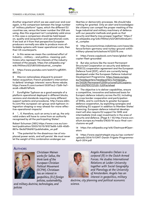

Another argument which we see used over and over again, is the comparison between the large number of "military platform" types, which the different EU countries use, versus the lower number the USA are using. Also this argument isn't completely valid since in this case a comparison should be held based on, quality and (acquisition and operational) costs. If we look at it from that perspective European producers normally are able to produce more affordable systems with lower operational costs, then their US counterparts.

In this sense we mean the combined effort of Industry – military – and politics- meaning: politicians who represent the interests of the industry instead of the people. https://en.wikipedia.org/ wiki/Military%E2%80%93industrial\_complex

5 https://www.youtube.com/watch?v=gRiXM-8RiCOc

6 Macron nationalizes shipyard to prevent Italian acquisition; French president's intervention to defend 'strategic interests' earns Rome rebuke. https://www.ft.com/content/303f7ac2-72d9-11e7 aca6-c6bd07df1a3c

7 Eurofighter Typhoon as a good example of a platform operational deployed in different blocks, versions and standards requiring many different support systems and procedures. http://www.sldinfo.com/the-european-air-group-and-typhoon-integration-shaping-a-way-ahead-for-more-effective-operational-impacts/

8 "… If, therefore, such an army is set up, the only valid orders will have to come from an authority recognised by all the participating States".

Robert Schuman (1951) https://www.cvce.eu/content/publication/2003/10/10/91573e99-1c69-40d5- 867e-19e3d706d167/publishable\_en.pdf

9 "The potential for the disastrous rise of misplaced power exists, and will persist. We must never let the weight of this combination endanger our

liberties or democratic processes. We should take nothing for granted. Only an alert and knowledgeable citizenry can compel the proper meshing of the huge industrial and military machinery of defence with our peaceful methods and goals so that security and liberty may prosper together." https:// en.wikipedia.org/wiki/Military%E2%80%93industrial\_complex

10 http://economictimes.indiatimes.com/news/defence/britain-germany-and-turkey-ground-a400 military-planes/articleshow/47225179.cms

11 https://www.copybook.com/news/global-helicopter-fleet-grounded

12 But also actions like the recent Permanent Structured Cooperation on security and defence (PESCO) cooperation agreement and the European Defence Fund (EDF), which are currently being developed under the European Defence Industrial Development Programme. https://eeas.europa. eu/headquarters/headquarters-homepage\_ en/34226/Permanent%20Structured%20Cooperation%20(PESCO)%20-%20Factsheet

13 The objective is to deliver capabilities, ensure a competitive, innovative and balanced basis for Europe's defence industry across the EU, including by cross border cooperation and participation of SMEs, and to contribute to greater European defence cooperation, by exploiting synergies and mobilising EU support in addition to Member States' financing. European defence industrial development will also require EU support for SME and intermediate (mid-cap) investments in the area of security and defence. (Page 9 / 10) http://www.consilium.europa.eu/media/21620/19-euco-final-conclusions-en.pdf

14 https://en.wikipedia.org/wiki/Destroyer#Operators

15 https://www.aspistrategist.org.au/wp-content/ uploads/2014/11/OMT-Dansh-Frigate-Programme-April-2014.pdf

### **Authors**



*Christiaan Meinen works for Sallux, the think tank of the European Christian Political Movement (ECPM). Christiaan has an interest in geopolitics, (EU) foreign policies, sustainability,* 

*and military doctrine, technologies, and policies*



*Angelo Alessandro Delsen is a corporal (R) in the Dutch Armed Forces. He studies International Relations at Leiden University together with Social Geography and Planology at the University of Amsterdam. Angelo has an interest in geopolitics, military* 

*doctrine, city planning and political economic science.*